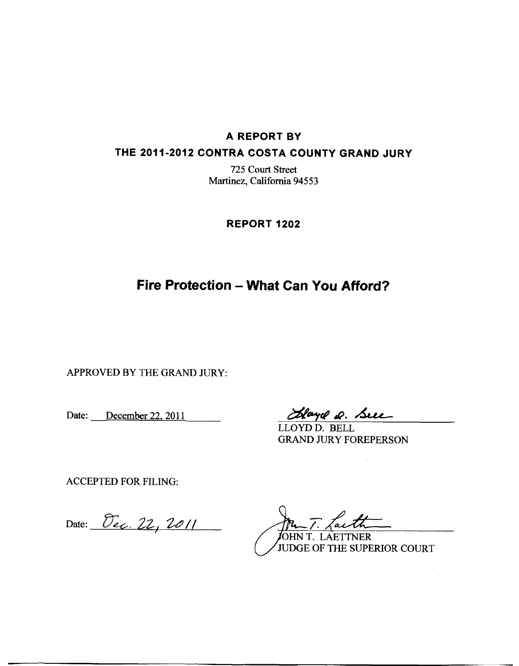#### **A REPORT BY**

#### **THE 2011-2012 CONTRA COSTA COUNTY GRAND JURY**

725 Court Street Martinez, California 94553

**REPORT 1202** 

## **Fire Protection - What Can You Afford?**

APPROVED BY THE GRAND JURY:

Date: <u>December 22, 2011</u> Hayel Q. Succ

LLOYD D. BELL GRAND JURY FOREPERSON

ACCEPTED FOR FILING:

Date: <del>Dec</del>. 22, 2011

<u>Lar</u>

JOHN T. LAETTNER JUDGE OF THE SUPERIOR COURT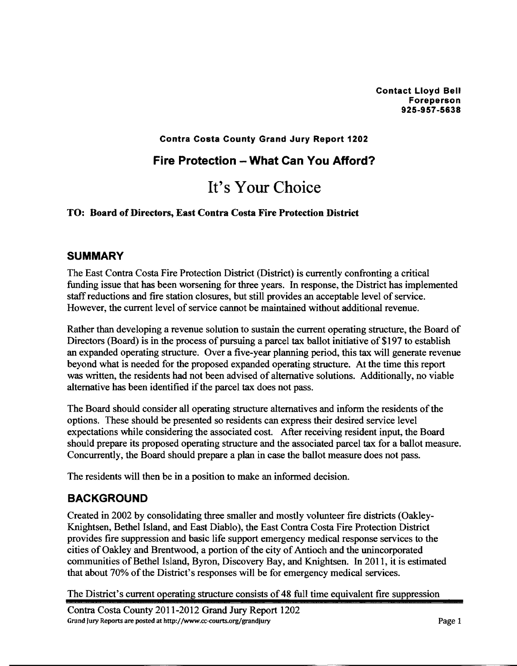#### **Contra Costa County Grand Jury Report 1202**

## **Fire Protection - What Can You Afford?**

# **It's** Your Choice

#### **TO: Board of Directors, East Contra Costa Fire Protection District**

#### **SUMMARY**

The East Contra Costa Fire Protection District (District) is currently confronting a critical funding issue that has been worsening for three years. In response, the District has implemented staff reductions and fire station closures, but still provides an acceptable level of service. However, the current level of service cannot be maintained without additional revenue.

Rather than developing a revenue solution to sustain the current operating structure, the Board of Directors (Board) is in the process of pursuing a parcel **tax** ballot initiative of \$197 to establish an expanded operating structure. Over a five-year planning period, this **tax** will generate revenue beyond what is needed for the proposed expanded operating structure. At the time this report was written, the residents had not been advised of alternative solutions. Additionally, no viable alternative has been identified if the parcel **tax** does not pass.

The Board should consider all operating structure alternatives and inform the residents of the options. These should be presented so residents can express their desired service level expectations while considering the associated cost. After receiving resident input, the Board should prepare its proposed operating structure and the associated parcel **tax** for a ballot measure. Concurrently, the Board should prepare a plan in case the ballot measure does not pass.

The residents will then be in a position to make an informed decision.

## **BACKGROUND**

Created in 2002 by consolidating three smaller and mostly volunteer fire districts (Oakley-Knightsen, Bethel Island, and East Diablo), the East Contra Costa Fire Protection District provides fire suppression and basic life support emergency medical response services to the cities of Oakley and Brentwood, a portion of the city of Antioch and the unincorporated communities of Bethel Island, Byron, Discovery Bay, and Knightsen. In 201 1, it is estimated that about 70% of the District's responses will be for emergency medical services.

The District's current operating structure consists of 48 full time equivalent fire suppression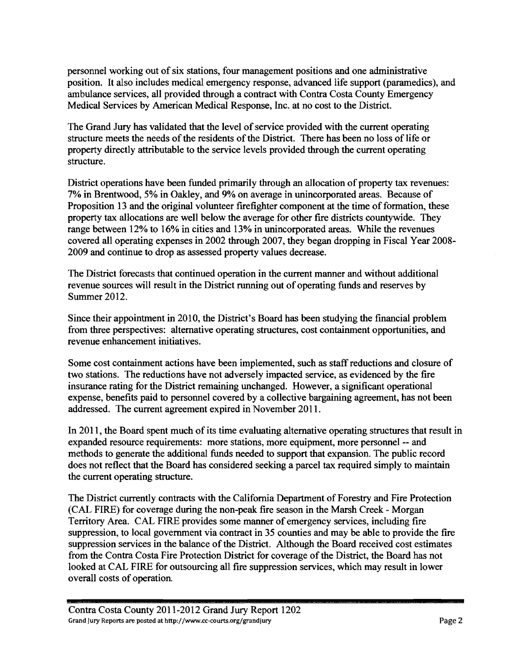personnel working out of six stations, four management positions and one administrative position. It also includes medical emergency response, advanced life support (paramedics), and ambulance services, all provided through a contract with Contra Costa County Emergency Medical Services by American Medical Response, Inc. at no cost to the District.

The Grand Jury has validated that the level of service provided with the current operating structure meets the needs of the residents of the District. There has been no loss of life or property directly attributable to the service levels provided through the current operating structure.

District operations have been funded primarily through an allocation of property tax revenues: 7% in Brentwood, 5% in Oakley, and 9% on average in unincorporated areas. Because of Proposition 13 and the original volunteer firefighter component at the time of formation, these property tax allocations are well below the average for other fire districts countywide. They range between 12% to 16% in cities and 13% in unincorporated areas. While the revenues covered all operating expenses in 2002 through 2007, they began dropping in Fiscal Year 2008- 2009 and continue to drop as assessed property values decrease.

The District forecasts that continued operation in the current manner and without additional revenue sources will result in the District running out of operating funds and reserves by Summer 2012.

Since their appointment in 2010, the District's Board has been studying the financial problem from three perspectives: alternative operating structures, cost containment opportunities, and revenue enhancement initiatives.

Some cost containment actions have been implemented, such as staff reductions and closure of two stations. The reductions have not adversely impacted service, as evidenced by the fire insurance rating for the District remaining unchanged. However, a significant operational expense, benefits paid to personnel covered by a collective bargaining agreement, has not been addressed. The current agreement expired in November 2011.

In 201 1, the Board spent much of its time evaluating alternative operating structures that result in expanded resource requirements: more stations, more equipment, more personnel -- and methods to generate the additional finds needed to support that expansion. The public record does not reflect that the Board has considered seeking a parcel **tax** required simply to maintain the current operating structure.

The District currently contracts with the California Department of Forestry and Fire Protection (CAL FIRE) for coverage during the non-peak fire season in the Marsh Creek - Morgan Territory Area. CAL FIRE provides some manner of emergency services, including fire suppression, to local government via contract in 35 counties and may be able to provide the fire suppression services in the balance of the District. Although the Board received cost estimates from the Contra Costa Fire Protection District for coverage of the District, the Board has not looked at CAL FIRE for outsourcing all fire suppression services, which may result in lower overall costs of operation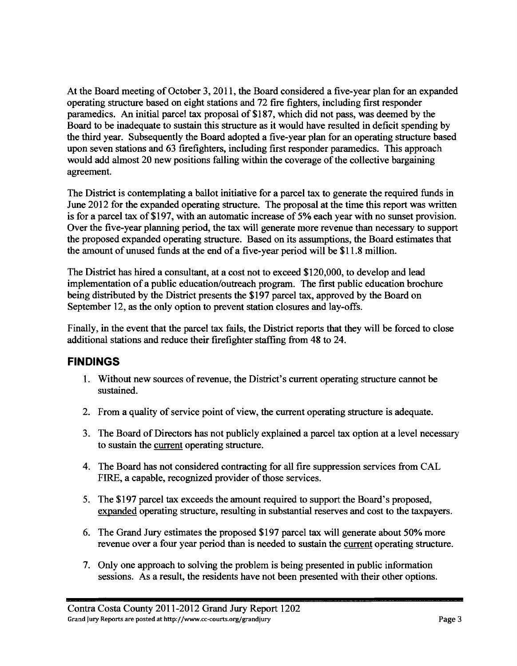At the Board meeting of October 3,201 1, the Board considered a five-year plan for an expanded operating structure based on eight stations and 72 fire fighters, including first responder paramedics. An initial parcel tax proposal of \$1 87, which did not pass, was deemed by the Board to be inadequate to sustain this structure as it would have resulted in deficit spending by the third year. Subsequently the Board adopted a five-year plan for an operating structure based upon seven stations and 63 firefighters, including first responder paramedics. This approach would add almost 20 new positions falling within the coverage of the collective bargaining agreement.

The District is contemplating a ballot initiative for a parcel tax to generate the required funds in June 2012 for the expanded operating structure. The proposal at the time this report was written is for a parcel tax of \$197, with an automatic increase of 5% each year with no sunset provision. Over the five-year planning period, the tax will generate more revenue than necessary to support the proposed expanded operating structure. Based on its assumptions, the Board estimates that the amount of unused funds at the end of a five-year period will be \$1 1.8 million.

The District has hired a consultant, at a cost not to exceed \$120,000, to develop and lead implementation of a public education/outreach program. The first public education brochure being distributed by the District presents the \$197 parcel tax, approved by the Board on September 12, as the only option to prevent station closures and lay-offs.

Finally, in the event that the parcel tax fails, the District reports that they will be forced to close additional stations and reduce their firefighter staffing fiom 48 to 24.

## **FINDINGS**

- 1. Without new sources of revenue, the District's current operating structure cannot be sustained.
- 2. From a quality of service point of view, the current operating structure is adequate.
- 3. The Board of Directors has not publicly explained a parcel tax option at a level necessary to sustain the current operating structure.
- 4. The Board has not considered contracting for all fire suppression services fiom CAL FIRE, a capable, recognized provider of those services.
- 5. The \$197 parcel tax exceeds the amount required to support the Board's proposed, expanded operating structure, resulting in substantial reserves and cost to the taxpayers.
- 6. The Grand Jury estimates the proposed \$197 parcel tax will generate about 50% more revenue over a four year period than is needed to sustain the current operating structure.
- 7. Only one approach to solving the problem is being presented in public information sessions. As a result, the residents have not been presented with their other options.